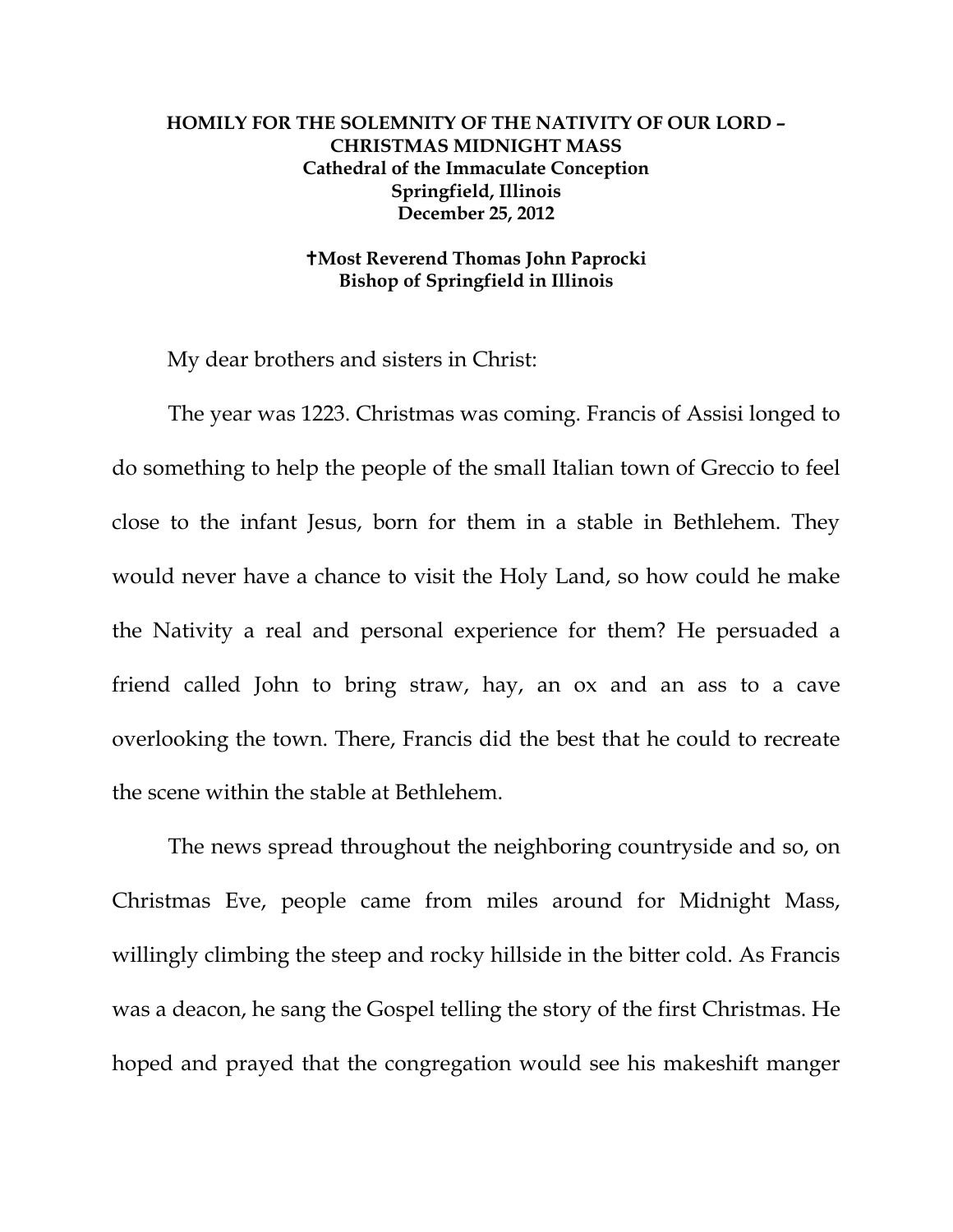## **HOMILY FOR THE SOLEMNITY OF THE NATIVITY OF OUR LORD – CHRISTMAS MIDNIGHT MASS Cathedral of the Immaculate Conception Springfield, Illinois December 25, 2012**

## **Most Reverend Thomas John Paprocki Bishop of Springfield in Illinois**

My dear brothers and sisters in Christ:

The year was 1223. Christmas was coming. Francis of Assisi longed to do something to help the people of the small Italian town of Greccio to feel close to the infant Jesus, born for them in a stable in Bethlehem. They would never have a chance to visit the Holy Land, so how could he make the Nativity a real and personal experience for them? He persuaded a friend called John to bring straw, hay, an ox and an ass to a cave overlooking the town. There, Francis did the best that he could to recreate the scene within the stable at Bethlehem.

The news spread throughout the neighboring countryside and so, on Christmas Eve, people came from miles around for Midnight Mass, willingly climbing the steep and rocky hillside in the bitter cold. As Francis was a deacon, he sang the Gospel telling the story of the first Christmas. He hoped and prayed that the congregation would see his makeshift manger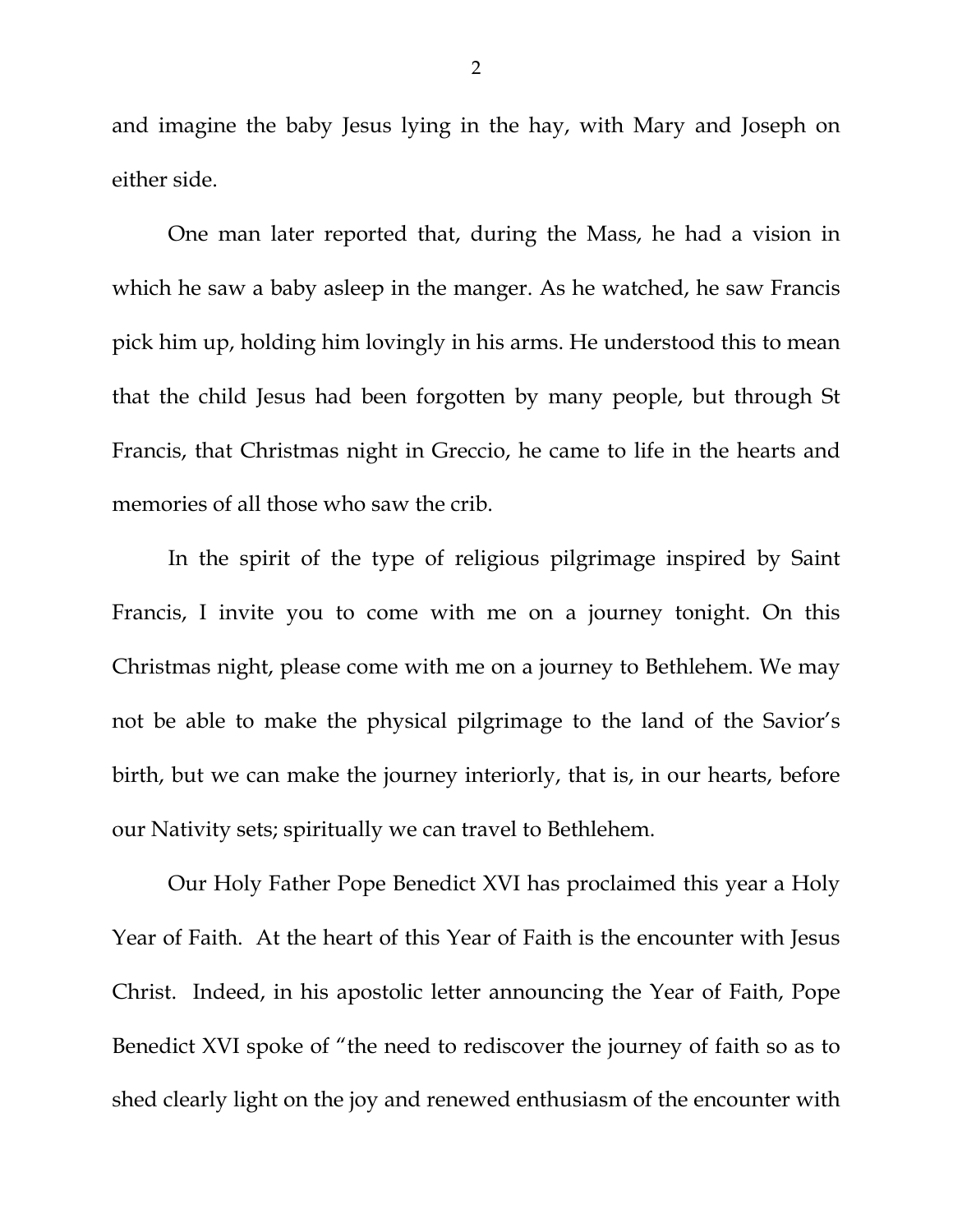and imagine the baby Jesus lying in the hay, with Mary and Joseph on either side.

One man later reported that, during the Mass, he had a vision in which he saw a baby asleep in the manger. As he watched, he saw Francis pick him up, holding him lovingly in his arms. He understood this to mean that the child Jesus had been forgotten by many people, but through St Francis, that Christmas night in Greccio, he came to life in the hearts and memories of all those who saw the crib.

In the spirit of the type of religious pilgrimage inspired by Saint Francis, I invite you to come with me on a journey tonight. On this Christmas night, please come with me on a journey to Bethlehem. We may not be able to make the physical pilgrimage to the land of the Savior's birth, but we can make the journey interiorly, that is, in our hearts, before our Nativity sets; spiritually we can travel to Bethlehem.

Our Holy Father Pope Benedict XVI has proclaimed this year a Holy Year of Faith. At the heart of this Year of Faith is the encounter with Jesus Christ. Indeed, in his apostolic letter announcing the Year of Faith, Pope Benedict XVI spoke of "the need to rediscover the journey of faith so as to shed clearly light on the joy and renewed enthusiasm of the encounter with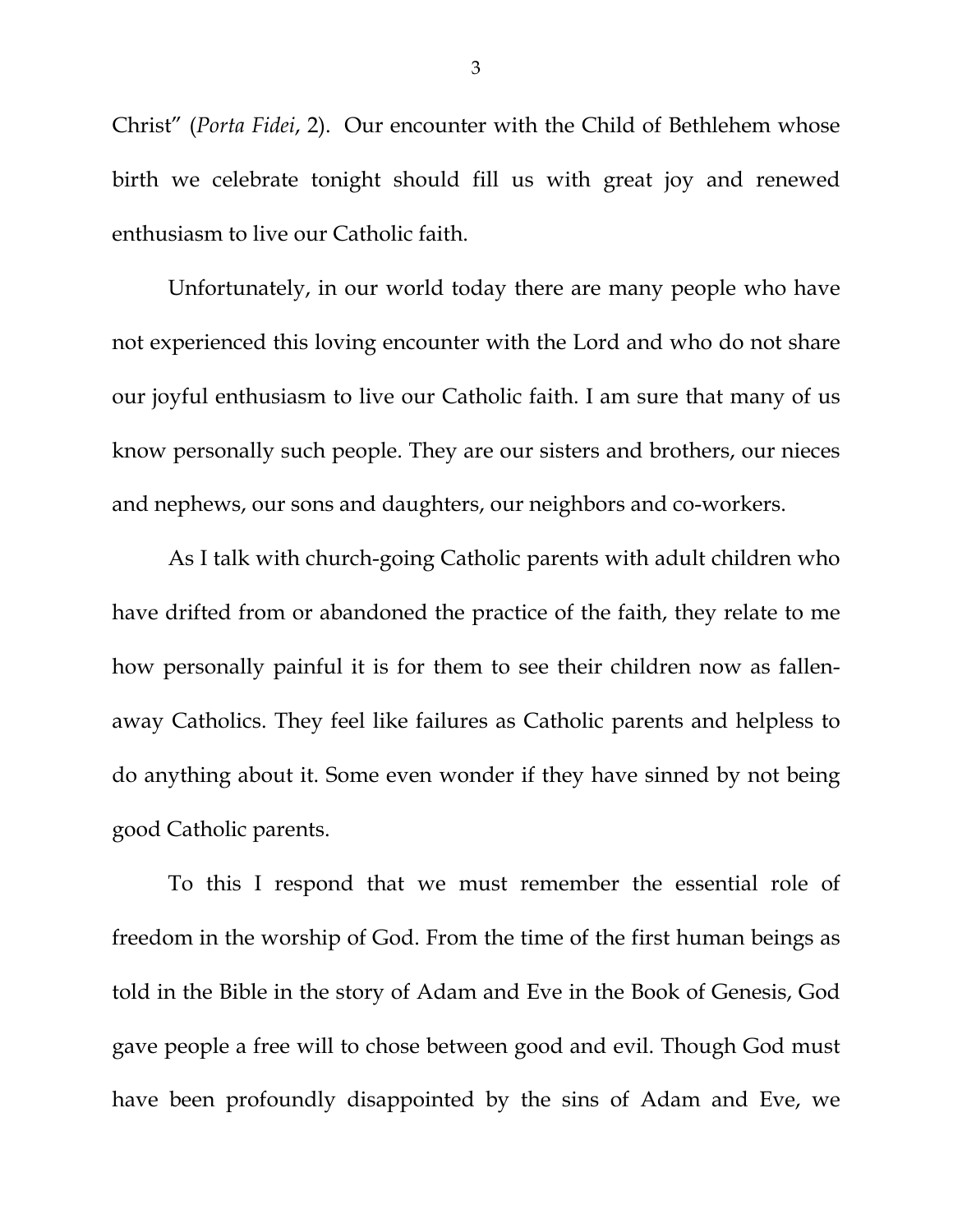Christ" (*Porta Fidei*, 2). Our encounter with the Child of Bethlehem whose birth we celebrate tonight should fill us with great joy and renewed enthusiasm to live our Catholic faith.

Unfortunately, in our world today there are many people who have not experienced this loving encounter with the Lord and who do not share our joyful enthusiasm to live our Catholic faith. I am sure that many of us know personally such people. They are our sisters and brothers, our nieces and nephews, our sons and daughters, our neighbors and co-workers.

As I talk with church-going Catholic parents with adult children who have drifted from or abandoned the practice of the faith, they relate to me how personally painful it is for them to see their children now as fallenaway Catholics. They feel like failures as Catholic parents and helpless to do anything about it. Some even wonder if they have sinned by not being good Catholic parents.

To this I respond that we must remember the essential role of freedom in the worship of God. From the time of the first human beings as told in the Bible in the story of Adam and Eve in the Book of Genesis, God gave people a free will to chose between good and evil. Though God must have been profoundly disappointed by the sins of Adam and Eve, we

3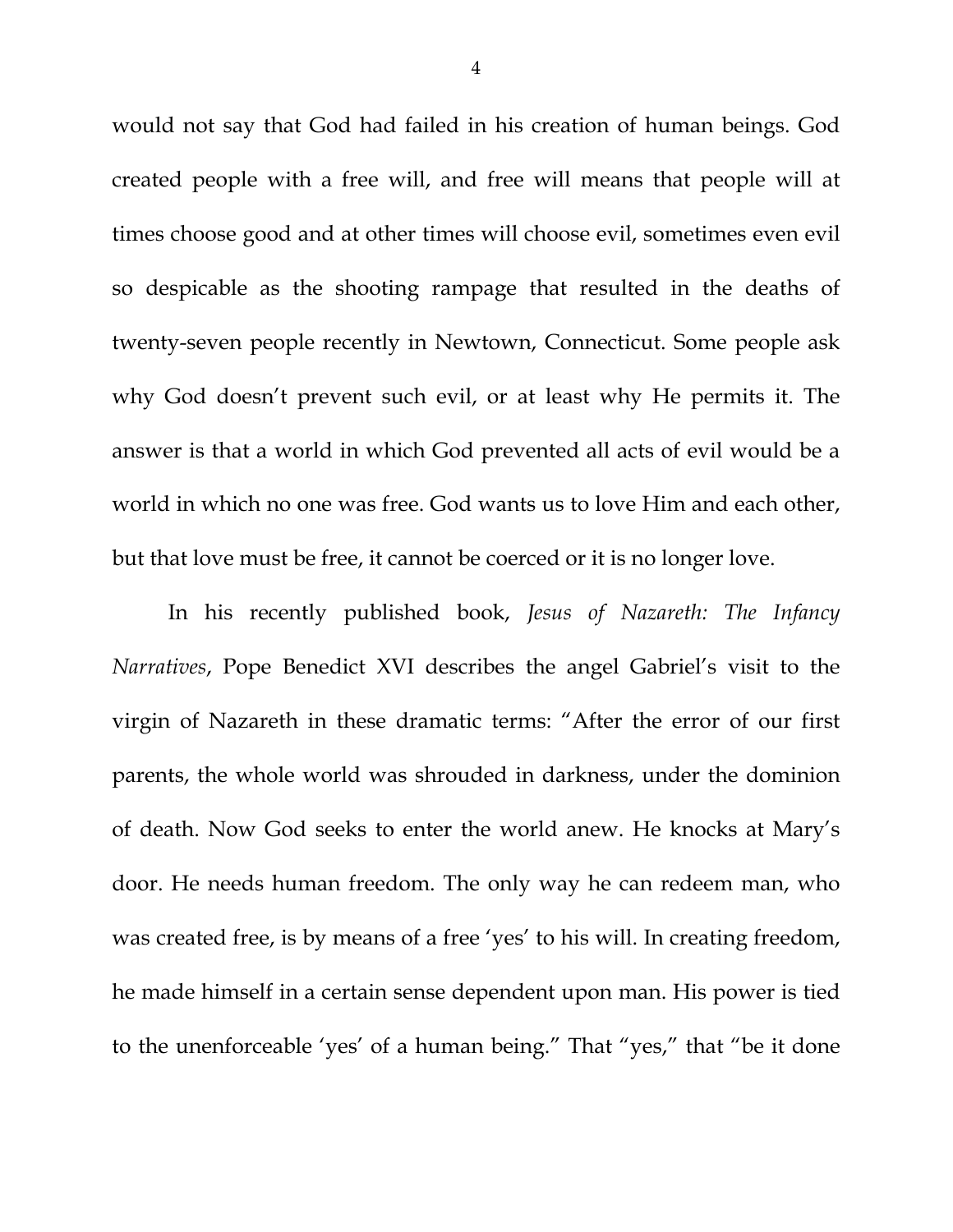would not say that God had failed in his creation of human beings. God created people with a free will, and free will means that people will at times choose good and at other times will choose evil, sometimes even evil so despicable as the shooting rampage that resulted in the deaths of twenty-seven people recently in Newtown, Connecticut. Some people ask why God doesn't prevent such evil, or at least why He permits it. The answer is that a world in which God prevented all acts of evil would be a world in which no one was free. God wants us to love Him and each other, but that love must be free, it cannot be coerced or it is no longer love.

In his recently published book, *Jesus of Nazareth: The Infancy Narratives*, Pope Benedict XVI describes the angel Gabriel's visit to the virgin of Nazareth in these dramatic terms: "After the error of our first parents, the whole world was shrouded in darkness, under the dominion of death. Now God seeks to enter the world anew. He knocks at Mary's door. He needs human freedom. The only way he can redeem man, who was created free, is by means of a free 'yes' to his will. In creating freedom, he made himself in a certain sense dependent upon man. His power is tied to the unenforceable 'yes' of a human being." That "yes," that "be it done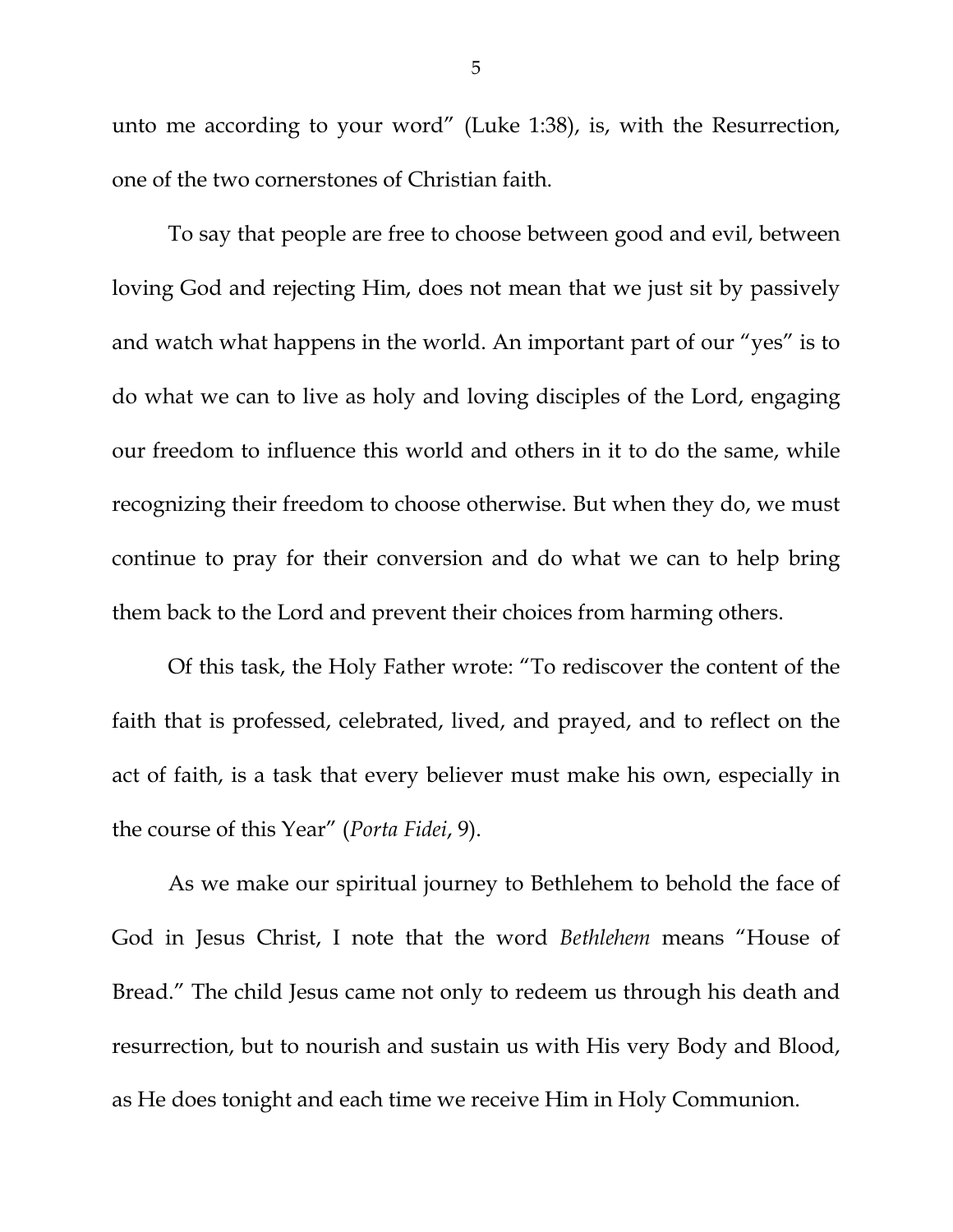unto me according to your word" (Luke 1:38), is, with the Resurrection, one of the two cornerstones of Christian faith.

To say that people are free to choose between good and evil, between loving God and rejecting Him, does not mean that we just sit by passively and watch what happens in the world. An important part of our "yes" is to do what we can to live as holy and loving disciples of the Lord, engaging our freedom to influence this world and others in it to do the same, while recognizing their freedom to choose otherwise. But when they do, we must continue to pray for their conversion and do what we can to help bring them back to the Lord and prevent their choices from harming others.

Of this task, the Holy Father wrote: "To rediscover the content of the faith that is professed, celebrated, lived, and prayed, and to reflect on the act of faith, is a task that every believer must make his own, especially in the course of this Year" (*Porta Fidei*, 9).

As we make our spiritual journey to Bethlehem to behold the face of God in Jesus Christ, I note that the word *Bethlehem* means "House of Bread." The child Jesus came not only to redeem us through his death and resurrection, but to nourish and sustain us with His very Body and Blood, as He does tonight and each time we receive Him in Holy Communion.

5